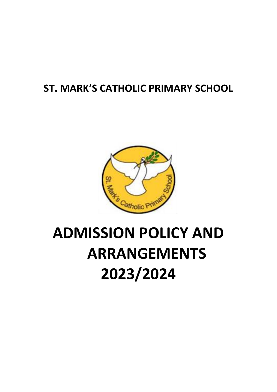## **ST. MARK'S CATHOLIC PRIMARY SCHOOL**



# **ADMISSION POLICY AND ARRANGEMENTS 2023/2024**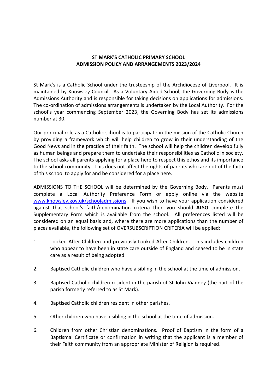#### **ST MARK'S CATHOLIC PRIMARY SCHOOL ADMISSION POLICY AND ARRANGEMENTS 2023/2024**

St Mark's is a Catholic School under the trusteeship of the Archdiocese of Liverpool. It is maintained by Knowsley Council. As a Voluntary Aided School, the Governing Body is the Admissions Authority and is responsible for taking decisions on applications for admissions. The co-ordination of admissions arrangements is undertaken by the Local Authority. For the school's year commencing September 2023, the Governing Body has set its admissions number at 30.

Our principal role as a Catholic school is to participate in the mission of the Catholic Church by providing a framework which will help children to grow in their understanding of the Good News and in the practice of their faith. The school will help the children develop fully as human beings and prepare them to undertake their responsibilities as Catholic in society. The school asks all parents applying for a place here to respect this ethos and its importance to the school community. This does not affect the rights of parents who are not of the faith of this school to apply for and be considered for a place here.

ADMISSIONS TO THE SCHOOL will be determined by the Governing Body. Parents must complete a Local Authority Preference Form or apply online via the website [www.knowsley.gov.uk/schooladmissions.](http://www.knowsley.gov.uk/schooladmissions) If you wish to have your application considered against that school's faith/denomination criteria then you should **ALSO** complete the Supplementary Form which is available from the school. All preferences listed will be considered on an equal basis and, where there are more applications than the number of places available, the following set of OVERSUBSCRIPTION CRITERIA will be applied:

- 1. Looked After Children and previously Looked After Children. This includes children who appear to have been in state care outside of England and ceased to be in state care as a result of being adopted.
- 2. Baptised Catholic children who have a sibling in the school at the time of admission.
- 3. Baptised Catholic children resident in the parish of St John Vianney (the part of the parish formerly referred to as St Mark).
- 4. Baptised Catholic children resident in other parishes.
- 5. Other children who have a sibling in the school at the time of admission.
- 6. Children from other Christian denominations. Proof of Baptism in the form of a Baptismal Certificate or confirmation in writing that the applicant is a member of their Faith community from an appropriate Minister of Religion is required.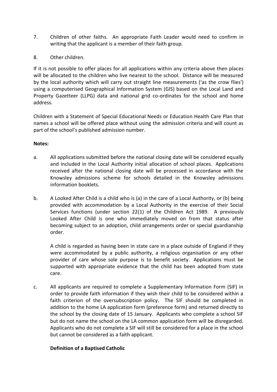- 7. Children of other faiths. An appropriate Faith Leader would need to confirm in writing that the applicant is a member of their faith group.
- 8. Other children.

If it is not possible to offer places for all applications within any criteria above then places will be allocated to the children who live nearest to the school. Distance will be measured by the local authority which will carry out straight line measurements ('as the crow flies') using a computerised Geographical Information System (GIS) based on the Local Land and Property Gazetteer (LLPG) data and national grid co-ordinates for the school and home address.

Children with a Statement of Special Educational Needs or Education Health Care Plan that names a school will be offered place without using the admission criteria and will count as part of the school's published admission number.

#### **Notes:**

- a. All applications submitted before the national closing date will be considered equally and included in the Local Authority initial allocation of school places. Applications received after the national closing date will be processed in accordance with the Knowsley admissions scheme for schools detailed in the Knowsley admissions information booklets.
- b. A Looked After Child is a child who is (a) in the care of a Local Authority, or (b) being provided with accommodation by a Local Authority in the exercise of their Social Services functions (under section 22(1) of the Children Act 1989. A previously Looked After Child is one who immediately moved on from that status after becoming subject to an adoption, child arrangements order or special guardianship order.

A child is regarded as having been in state care in a place outside of England if they were accommodated by a public authority, a religious organisation or any other provider of care whose sole purpose is to benefit society. Applications must be supported with appropriate evidence that the child has been adopted from state care.

c. All applicants are required to complete a Supplementary Information Form (SIF) in order to provide faith information if they wish their child to be considered within a faith criterion of the oversubscription policy. The SIF should be completed in addition to the home LA application form (preference form) and returned directly to the school by the closing date of 15 January. Applicants who complete a school SIF but do not name the school on the LA common application form will be disregarded. Applicants who do not complete a SIF will still be considered for a place in the school but cannot be considered as a faith applicant.

### **Definition of a Baptised Catholic**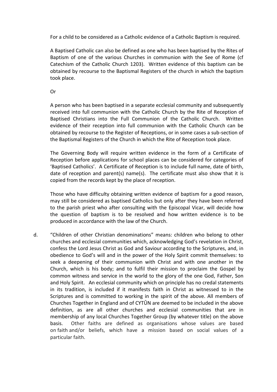For a child to be considered as a Catholic evidence of a Catholic Baptism is required.

A Baptised Catholic can also be defined as one who has been baptised by the Rites of Baptism of one of the various Churches in communion with the See of Rome (cf Catechism of the Catholic Church 1203). Written evidence of this baptism can be obtained by recourse to the Baptismal Registers of the church in which the baptism took place.

Or

A person who has been baptised in a separate ecclesial community and subsequently received into full communion with the Catholic Church by the Rite of Reception of Baptised Christians into the Full Communion of the Catholic Church. Written evidence of their reception into full communion with the Catholic Church can be obtained by recourse to the Register of Receptions, or in some cases a sub-section of the Baptismal Registers of the Church in which the Rite of Reception took place.

The Governing Body will require written evidence in the form of a Certificate of Reception before applications for school places can be considered for categories of 'Baptised Catholics'. A Certificate of Reception is to include full name, date of birth, date of reception and parent(s) name(s). The certificate must also show that it is copied from the records kept by the place of reception.

Those who have difficulty obtaining written evidence of baptism for a good reason, may still be considered as baptised Catholics but only after they have been referred to the parish priest who after consulting with the Episcopal Vicar, will decide how the question of baptism is to be resolved and how written evidence is to be produced in accordance with the law of the Church.

d. "Children of other Christian denominations" means: children who belong to other churches and ecclesial communities which, acknowledging God's revelation in Christ, confess the Lord Jesus Christ as God and Saviour according to the Scriptures, and, in obedience to God's will and in the power of the Holy Spirit commit themselves: to seek a deepening of their communion with Christ and with one another in the Church, which is his body; and to fulfil their mission to proclaim the Gospel by common witness and service in the world to the glory of the one God, Father, Son and Holy Spirit. An ecclesial community which on principle has no credal statements in its tradition, is included if it manifests faith in Christ as witnessed to in the Scriptures and is committed to working in the spirit of the above. All members of Churches Together in England and of CYTÛN are deemed to be included in the above definition, as are all other churches and ecclesial communities that are in membership of any local Churches Together Group (by whatever title) on the above basis. Other faiths are defined as organisations whose values are based on faith and/or beliefs, which have a mission based on social values of a particular faith.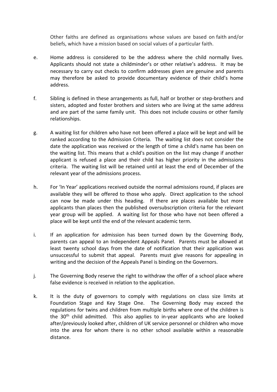Other faiths are defined as organisations whose values are based on faith and/or beliefs, which have a mission based on social values of a particular faith.

- e. Home address is considered to be the address where the child normally lives. Applicants should not state a childminder's or other relative's address. It may be necessary to carry out checks to confirm addresses given are genuine and parents may therefore be asked to provide documentary evidence of their child's home address.
- f. Sibling is defined in these arrangements as full, half or brother or step-brothers and sisters, adopted and foster brothers and sisters who are living at the same address and are part of the same family unit. This does not include cousins or other family relationships.
- g. A waiting list for children who have not been offered a place will be kept and will be ranked according to the Admission Criteria. The waiting list does not consider the date the application was received or the length of time a child's name has been on the waiting list. This means that a child's position on the list may change if another applicant is refused a place and their child has higher priority in the admissions criteria. The waiting list will be retained until at least the end of December of the relevant year of the admissions process.
- h. For 'In Year' applications received outside the normal admissions round, if places are available they will be offered to those who apply. Direct application to the school can now be made under this heading. If there are places available but more applicants than places then the published oversubscription criteria for the relevant year group will be applied. A waiting list for those who have not been offered a place will be kept until the end of the relevant academic term.
- i. If an application for admission has been turned down by the Governing Body, parents can appeal to an Independent Appeals Panel. Parents must be allowed at least twenty school days from the date of notification that their application was unsuccessful to submit that appeal. Parents must give reasons for appealing in writing and the decision of the Appeals Panel is binding on the Governors.
- j. The Governing Body reserve the right to withdraw the offer of a school place where false evidence is received in relation to the application.
- k. It is the duty of governors to comply with regulations on class size limits at Foundation Stage and Key Stage One. The Governing Body may exceed the regulations for twins and children from multiple births where one of the children is the  $30<sup>th</sup>$  child admitted. This also applies to in-year applicants who are looked after/previously looked after, children of UK service personnel or children who move into the area for whom there is no other school available within a reasonable distance.